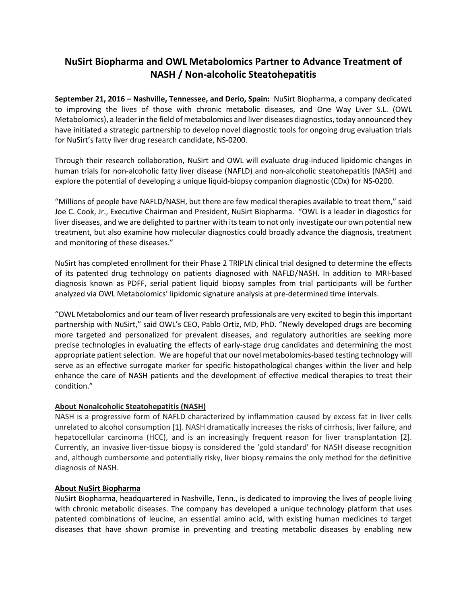## **NuSirt Biopharma and OWL Metabolomics Partner to Advance Treatment of NASH / Non-alcoholic Steatohepatitis**

**September 21, 2016 – Nashville, Tennessee, and Derio, Spain:** NuSirt Biopharma, a company dedicated to improving the lives of those with chronic metabolic diseases, and One Way Liver S.L. (OWL Metabolomics), a leader in the field of metabolomics and liver diseases diagnostics, today announced they have initiated a strategic partnership to develop novel diagnostic tools for ongoing drug evaluation trials for NuSirt's fatty liver drug research candidate, NS-0200.

Through their research collaboration, NuSirt and OWL will evaluate drug-induced lipidomic changes in human trials for non-alcoholic fatty liver disease (NAFLD) and non-alcoholic steatohepatitis (NASH) and explore the potential of developing a unique liquid-biopsy companion diagnostic (CDx) for NS-0200.

"Millions of people have NAFLD/NASH, but there are few medical therapies available to treat them," said Joe C. Cook, Jr., Executive Chairman and President, NuSirt Biopharma. "OWL is a leader in diagostics for liver diseases, and we are delighted to partner with its team to not only investigate our own potential new treatment, but also examine how molecular diagnostics could broadly advance the diagnosis, treatment and monitoring of these diseases."

NuSirt has completed enrollment for their Phase 2 TRIPLN clinical trial designed to determine the effects of its patented drug technology on patients diagnosed with NAFLD/NASH. In addition to MRI-based diagnosis known as PDFF, serial patient liquid biopsy samples from trial participants will be further analyzed via OWL Metabolomics' lipidomic signature analysis at pre-determined time intervals.

"OWL Metabolomics and our team of liver research professionals are very excited to begin this important partnership with NuSirt," said OWL's CEO, Pablo Ortiz, MD, PhD. "Newly developed drugs are becoming more targeted and personalized for prevalent diseases, and regulatory authorities are seeking more precise technologies in evaluating the effects of early-stage drug candidates and determining the most appropriate patient selection. We are hopeful that our novel metabolomics-based testing technology will serve as an effective surrogate marker for specific histopathological changes within the liver and help enhance the care of NASH patients and the development of effective medical therapies to treat their condition."

## **About Nonalcoholic Steatohepatitis (NASH)**

NASH is a progressive form of NAFLD characterized by inflammation caused by excess fat in liver cells unrelated to alcohol consumption [1]. NASH dramatically increases the risks of cirrhosis, liver failure, and hepatocellular carcinoma (HCC), and is an increasingly frequent reason for liver transplantation [2]. Currently, an invasive liver-tissue biopsy is considered the 'gold standard' for NASH disease recognition and, although cumbersome and potentially risky, liver biopsy remains the only method for the definitive diagnosis of NASH.

## **About NuSirt Biopharma**

NuSirt Biopharma, headquartered in Nashville, Tenn., is dedicated to improving the lives of people living with chronic metabolic diseases. The company has developed a unique technology platform that uses patented combinations of leucine, an essential amino acid, with existing human medicines to target diseases that have shown promise in preventing and treating metabolic diseases by enabling new